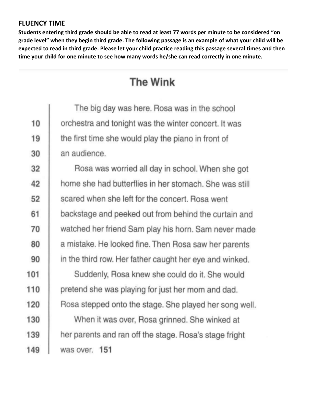## **FLUENCY TIME**

**Students entering third grade should be able to read at least 77 words per minute to be considered "on grade level" when they begin third grade. The following passage is an example of what your child will be expected to read in third grade. Please let your child practice reading this passage several times and then time your child for one minute to see how many words he/she can read correctly in one minute.**

## **The Wink**

|     | The big day was here. Rosa was in the school            |
|-----|---------------------------------------------------------|
| 10  | orchestra and tonight was the winter concert. It was    |
| 19  | the first time she would play the piano in front of     |
| 30  | an audience.                                            |
| 32  | Rosa was worried all day in school. When she got        |
| 42  | home she had butterflies in her stomach. She was still  |
| 52  | scared when she left for the concert. Rosa went         |
| 61  | backstage and peeked out from behind the curtain and    |
| 70  | watched her friend Sam play his horn. Sam never made    |
| 80  | a mistake. He looked fine. Then Rosa saw her parents    |
| 90  | in the third row. Her father caught her eye and winked. |
| 101 | Suddenly, Rosa knew she could do it. She would          |
| 110 | pretend she was playing for just her mom and dad.       |
| 120 | Rosa stepped onto the stage. She played her song well.  |
| 130 | When it was over, Rosa grinned. She winked at           |
| 139 | her parents and ran off the stage. Rosa's stage fright  |
| 149 | was over. 151                                           |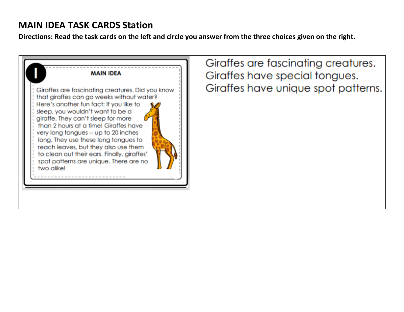## **MAIN IDEA TASK CARDS Station**

**Directions: Read the task cards on the left and circle you answer from the three choices given on the right.**



Giraffes are fascinating creatures. Giraffes have special tongues. Giraffes have unique spot patterns.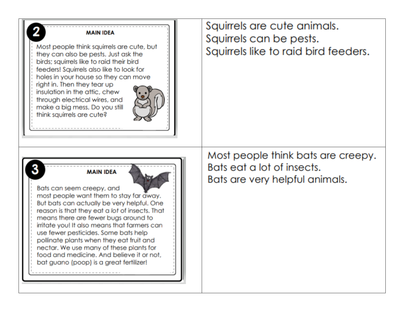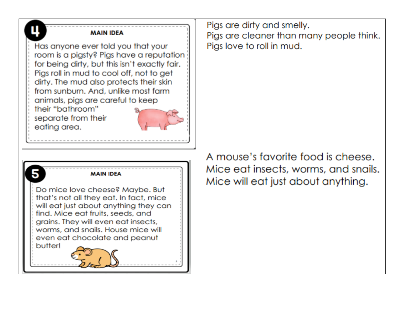| <b>MAIN IDEA</b><br>Has anyone ever told you that your<br>room is a pigsty? Pigs have a reputation<br>for being dirty, but this isn't exactly fair.<br>Pigs roll in mud to cool off, not to get<br>dirty. The mud also protects their skin<br>from sunburn. And, unlike most farm<br>animals, pigs are careful to keep<br>their "bathroom"<br>separate from their<br>eating area. | Pigs are dirty and smelly.<br>Pigs are cleaner than many people think.<br>Pigs love to roll in mud.              |
|-----------------------------------------------------------------------------------------------------------------------------------------------------------------------------------------------------------------------------------------------------------------------------------------------------------------------------------------------------------------------------------|------------------------------------------------------------------------------------------------------------------|
| <b>MAIN IDEA</b><br>Do mice love cheese? Maybe. But<br>that's not all they eat. In fact, mice<br>will eat just about anything they can<br>find. Mice eat fruits, seeds, and<br>grains. They will even eat insects,<br>worms, and snails. House mice will<br>even eat chocolate and peanut<br>butter!                                                                              | A mouse's favorite food is cheese.<br>Mice eat insects, worms, and snails.<br>Mice will eat just about anything. |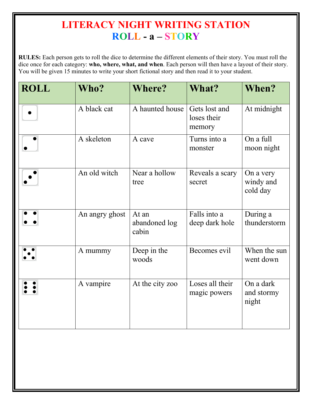## **LITERACY NIGHT WRITING STATION ROLL - a – STORY**

**RULES:** Each person gets to roll the dice to determine the different elements of their story. You must roll the dice once for each category: **who, where, what, and when**. Each person will then have a layout of their story. You will be given 15 minutes to write your short fictional story and then read it to your student.

| <b>ROLL</b> | Who?           | <b>Where?</b>                   | What?                                  | When?                              |
|-------------|----------------|---------------------------------|----------------------------------------|------------------------------------|
|             | A black cat    | A haunted house                 | Gets lost and<br>loses their<br>memory | At midnight                        |
|             | A skeleton     | A cave                          | Turns into a<br>monster                | On a full<br>moon night            |
|             | An old witch   | Near a hollow<br>tree           | Reveals a scary<br>secret              | On a very<br>windy and<br>cold day |
|             | An angry ghost | At an<br>abandoned log<br>cabin | Falls into a<br>deep dark hole         | During a<br>thunderstorm           |
|             | A mummy        | Deep in the<br>woods            | Becomes evil                           | When the sun<br>went down          |
|             | A vampire      | At the city zoo                 | Loses all their<br>magic powers        | On a dark<br>and stormy<br>night   |